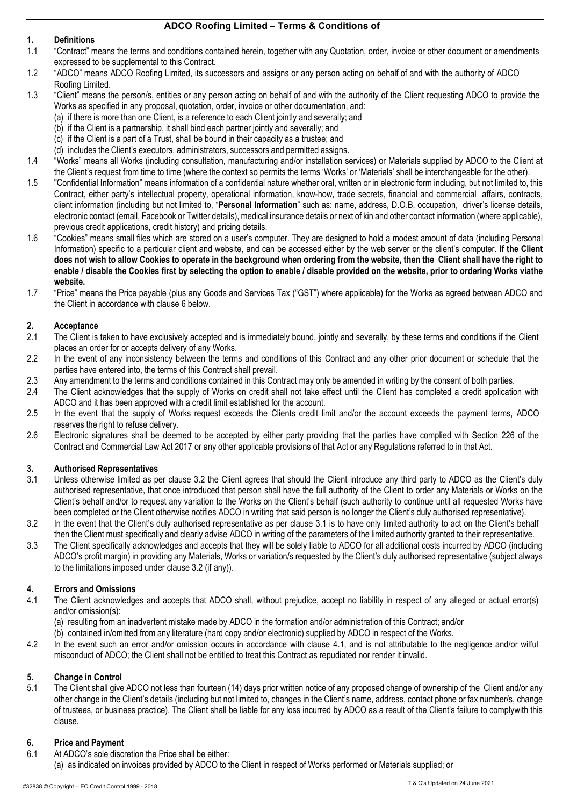## **1. Definitions**

- 1.1 "Contract" means the terms and conditions contained herein, together with any Quotation, order, invoice or other document or amendments expressed to be supplemental to this Contract.
- 1.2 "ADCO" means ADCO Roofing Limited, its successors and assigns or any person acting on behalf of and with the authority of ADCO Roofing Limited.
- 1.3 "Client" means the person/s, entities or any person acting on behalf of and with the authority of the Client requesting ADCO to provide the Works as specified in any proposal, quotation, order, invoice or other documentation, and:
	- (a) if there is more than one Client, is a reference to each Client jointly and severally; and
	- (b) if the Client is a partnership, it shall bind each partner jointly and severally; and
	- (c) if the Client is a part of a Trust, shall be bound in their capacity as a trustee; and
	- (d) includes the Client's executors, administrators, successors and permitted assigns.
- 1.4 "Works" means all Works (including consultation, manufacturing and/or installation services) or Materials supplied by ADCO to the Client at the Client's request from time to time (where the context so permits the terms 'Works' or 'Materials' shall be interchangeable for the other).
- 1.5 "Confidential Information" means information of a confidential nature whether oral, written or in electronic form including, but not limited to, this Contract, either party's intellectual property, operational information, know-how, trade secrets, financial and commercial affairs, contracts, client information (including but not limited to, "**Personal Information**" such as: name, address, D.O.B, occupation, driver's license details, electronic contact (email, Facebook or Twitter details), medical insurance details or next of kin and other contact information (where applicable), previous credit applications, credit history) and pricing details.
- 1.6 "Cookies" means small files which are stored on a user's computer. They are designed to hold a modest amount of data (including Personal Information) specific to a particular client and website, and can be accessed either by the web server or the client's computer. **If the Client does not wish to allow Cookies to operate in the background when ordering from the website, then the Client shall have the right to enable / disable the Cookies first by selecting the option to enable / disable provided on the website, prior to ordering Works viathe website.**
- 1.7 "Price" means the Price payable (plus any Goods and Services Tax ("GST") where applicable) for the Works as agreed between ADCO and the Client in accordance with claus[e 6 b](#page-0-0)elow.

## **2. Acceptance**<br>**2.1** The Client is

- 2.1 The Client is taken to have exclusively accepted and is immediately bound, jointly and severally, by these terms and conditions if the Client places an order for or accepts delivery of any Works.
- 2.2 In the event of any inconsistency between the terms and conditions of this Contract and any other prior document or schedule that the parties have entered into, the terms of this Contract shall prevail.
- 2.3 Any amendment to the terms and conditions contained in this Contract may only be amended in writing by the consent of both parties.
- 2.4 The Client acknowledges that the supply of Works on credit shall not take effect until the Client has completed a credit application with ADCO and it has been approved with a credit limit established for the account.
- 2.5 In the event that the supply of Works request exceeds the Clients credit limit and/or the account exceeds the payment terms, ADCO reserves the right to refuse delivery.
- 2.6 Electronic signatures shall be deemed to be accepted by either party providing that the parties have complied with Section 226 of the Contract and Commercial Law Act 2017 or any other applicable provisions of that Act or any Regulations referred to in that Act.

## **3. Authorised Representatives**

- <span id="page-0-2"></span>Unless otherwise limited as per clause [3.2 th](#page-0-1)e Client agrees that should the Client introduce any third party to ADCO as the Client's duly authorised representative, that once introduced that person shall have the full authority of the Client to order any Materials or Works on the Client's behalf and/or to request any variation to the Works on the Client's behalf (such authority to continue until all requested Works have been completed or the Client otherwise notifies ADCO in writing that said person is no longer the Client's duly authorised representative).
- <span id="page-0-1"></span>3.2 In the event that the Client's duly authorised representative as per clause [3.1](#page-0-2) is to have only limited authority to act on the Client's behalf then the Client must specifically and clearly advise ADCO in writing of the parameters of the limited authority granted to their representative.
- 3.3 The Client specifically acknowledges and accepts that they will be solely liable to ADCO for all additional costs incurred by ADCO (including ADCO's profit margin) in providing any Materials, Works or variation/s requested by the Client's duly authorised representative (subject always to the limitations imposed under claus[e 3.2](#page-0-1) (if any)).

## **4. Errors and Omissions**

- <span id="page-0-3"></span>4.1 The Client acknowledges and accepts that ADCO shall, without prejudice, accept no liability in respect of any alleged or actual error(s) and/or omission(s):
	- (a) resulting from an inadvertent mistake made by ADCO in the formation and/or administration of this Contract; and/or
	- (b) contained in/omitted from any literature (hard copy and/or electronic) supplied by ADCO in respect of the Works.
- 4.2 In the event such an error and/or omission occurs in accordance with clause [4.1,](#page-0-3) and is not attributable to the negligence and/or wilful misconduct of ADCO; the Client shall not be entitled to treat this Contract as repudiated nor render it invalid.

## **5. Change in Control**

5.1 The Client shall give ADCO not less than fourteen (14) days prior written notice of any proposed change of ownership of the Client and/or any other change in the Client's details (including but not limited to, changes in the Client's name, address, contact phone or fax number/s, change of trustees, or business practice). The Client shall be liable for any loss incurred by ADCO as a result of the Client's failure to complywith this clause.

#### <span id="page-0-0"></span>**6. Price and Payment**

- 6.1 At ADCO's sole discretion the Price shall be either:
- (a) as indicated on invoices provided by ADCO to the Client in respect of Works performed or Materials supplied; or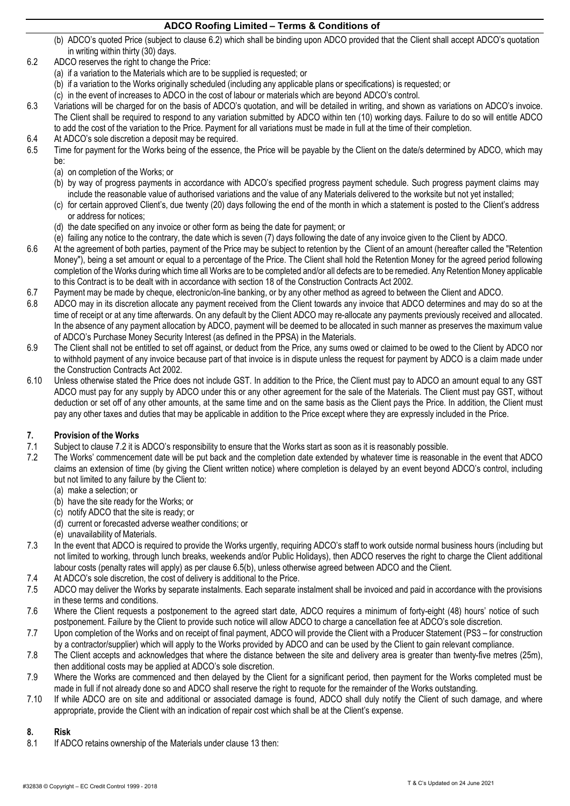- (b) ADCO's quoted Price (subject to clause [6.2\)](#page-1-0) which shall be binding upon ADCO provided that the Client shall accept ADCO's quotation in writing within thirty (30) days.
- <span id="page-1-0"></span>6.2 ADCO reserves the right to change the Price:
	- (a) if a variation to the Materials which are to be supplied is requested; or
	- (b) if a variation to the Works originally scheduled (including any applicable plans or specifications) is requested; or
	- (c) in the event of increases to ADCO in the cost of labour or materials which are beyond ADCO's control.
- <span id="page-1-4"></span>6.3 Variations will be charged for on the basis of ADCO's quotation, and will be detailed in writing, and shown as variations on ADCO's invoice. The Client shall be required to respond to any variation submitted by ADCO within ten (10) working days. Failure to do so will entitle ADCO to add the cost of the variation to the Price. Payment for all variations must be made in full at the time of their completion.
- 6.4 At ADCO's sole discretion a deposit may be required.
- <span id="page-1-5"></span><span id="page-1-2"></span>6.5 Time for payment for the Works being of the essence, the Price will be payable by the Client on the date/s determined by ADCO, which may be:
	- (a) on completion of the Works; or
	- (b) by way of progress payments in accordance with ADCO's specified progress payment schedule. Such progress payment claims may include the reasonable value of authorised variations and the value of any Materials delivered to the worksite but not yet installed;
	- (c) for certain approved Client's, due twenty (20) days following the end of the month in which a statement is posted to the Client's address or address for notices;
	- (d) the date specified on any invoice or other form as being the date for payment; or
	- (e) failing any notice to the contrary, the date which is seven (7) days following the date of any invoice given to the Client by ADCO.
- 6.6 At the agreement of both parties, payment of the Price may be subject to retention by the Client of an amount (hereafter called the "Retention Money"), being a set amount or equal to a percentage of the Price. The Client shall hold the Retention Money for the agreed period following completion of the Works during which time all Works are to be completed and/or all defects are to be remedied. Any RetentionMoney applicable to this Contract is to be dealt with in accordance with section 18 of the Construction Contracts Act 2002.
- 6.7 Payment may be made by cheque, electronic/on-line banking, or by any other method as agreed to between the Client and ADCO.
- ADCO may in its discretion allocate any payment received from the Client towards any invoice that ADCO determines and may do so at the time of receipt or at any time afterwards. On any default by the Client ADCO may re-allocate any payments previously received and allocated. In the absence of any payment allocation by ADCO, payment will be deemed to be allocated in such manner as preserves the maximum value of ADCO's Purchase Money Security Interest (as defined in the PPSA) in the Materials.
- 6.9 The Client shall not be entitled to set off against, or deduct from the Price, any sums owed or claimed to be owed to the Client by ADCO nor to withhold payment of any invoice because part of that invoice is in dispute unless the request for payment by ADCO is a claim made under the Construction Contracts Act 2002.
- 6.10 Unless otherwise stated the Price does not include GST. In addition to the Price, the Client must pay to ADCO an amount equal to any GST ADCO must pay for any supply by ADCO under this or any other agreement for the sale of the Materials. The Client must pay GST, without deduction or set off of any other amounts, at the same time and on the same basis as the Client pays the Price. In addition, the Client must pay any other taxes and duties that may be applicable in addition to the Price except where they are expressly included in the Price.

# **7. Provision of the Works**

- Subject to clause [7.2](#page-1-1) it is ADCO's responsibility to ensure that the Works start as soon as it is reasonably possible.
- <span id="page-1-1"></span>7.2 The Works' commencement date will be put back and the completion date extended by whatever time is reasonable in the event that ADCO claims an extension of time (by giving the Client written notice) where completion is delayed by an event beyond ADCO's control, including but not limited to any failure by the Client to:
	- (a) make a selection; or
	- (b) have the site ready for the Works; or
	- (c) notify ADCO that the site is ready; or
	- (d) current or forecasted adverse weather conditions; or
	- (e) unavailability of Materials.
- 7.3 In the event that ADCO is required to provide the Works urgently, requiring ADCO's staff to work outside normal business hours (including but not limited to working, through lunch breaks, weekends and/or Public Holidays), then ADCO reserves the right to charge the Client additional labour costs (penalty rates will apply) as per clause [6.5\(b\),](#page-1-2) unless otherwise agreed between ADCO and the Client.
- 7.4 At ADCO's sole discretion, the cost of delivery is additional to the Price.
- 7.5 ADCO may deliver the Works by separate instalments. Each separate instalment shall be invoiced and paid in accordance with the provisions in these terms and conditions.
- 7.6 Where the Client requests a postponement to the agreed start date, ADCO requires a minimum of forty-eight (48) hours' notice of such postponement. Failure by the Client to provide such notice will allow ADCO to charge a cancellation fee at ADCO's sole discretion.
- 7.7 Upon completion of the Works and on receipt of final payment, ADCO will provide the Client with a Producer Statement (PS3 for construction by a contractor/supplier) which will apply to the Works provided by ADCO and can be used by the Client to gain relevant compliance.
- 7.8 The Client accepts and acknowledges that where the distance between the site and delivery area is greater than twenty-five metres (25m), then additional costs may be applied at ADCO's sole discretion.
- 7.9 Where the Works are commenced and then delayed by the Client for a significant period, then payment for the Works completed must be made in full if not already done so and ADCO shall reserve the right to requote for the remainder of the Works outstanding.
- 7.10 If while ADCO are on site and additional or associated damage is found, ADCO shall duly notify the Client of such damage, and where appropriate, provide the Client with an indication of repair cost which shall be at the Client's expense.

## <span id="page-1-3"></span>**8. Risk**

8.1 If ADCO retains ownership of the Materials under clause [13](#page-4-0) then: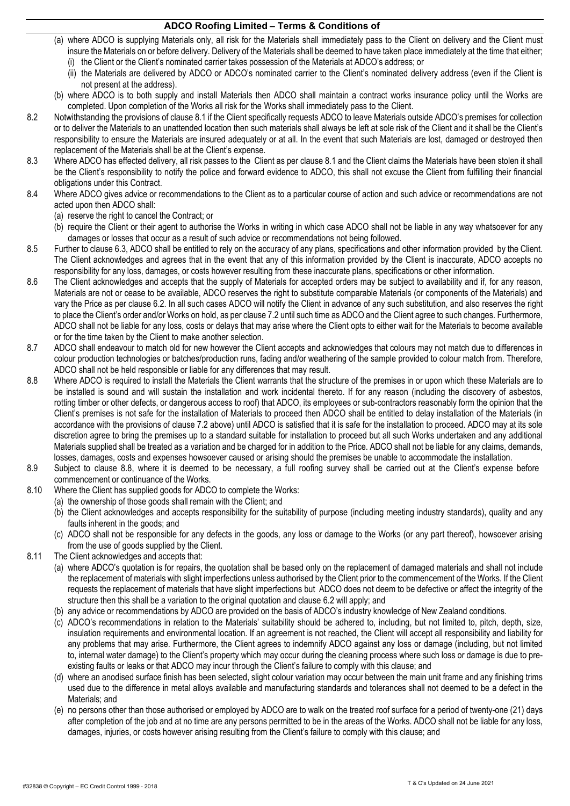- (a) where ADCO is supplying Materials only, all risk for the Materials shall immediately pass to the Client on delivery and the Client must insure the Materials on or before delivery. Delivery of the Materials shall be deemed to have taken place immediately at the time that either; (i) the Client or the Client's nominated carrier takes possession of the Materials at ADCO's address; or
	- (ii) the Materials are delivered by ADCO or ADCO's nominated carrier to the Client's nominated delivery address (even if the Client is not present at the address).
- (b) where ADCO is to both supply and install Materials then ADCO shall maintain a contract works insurance policy until the Works are completed. Upon completion of the Works all risk for the Works shall immediately pass to the Client.
- 8.2 Notwithstanding the provisions of clause [8.1](#page-1-3) if the Client specifically requests ADCO to leave Materials outside ADCO's premises for collection or to deliver the Materials to an unattended location then such materials shall always be left at sole risk of the Client and it shall be the Client's responsibility to ensure the Materials are insured adequately or at all. In the event that such Materials are lost, damaged or destroyed then replacement of the Materials shall be at the Client's expense.
- 8.3 Where ADCO has effected delivery, all risk passes to the Client as per claus[e 8.1 a](#page-1-3)nd the Client claims the Materials have been stolen it shall be the Client's responsibility to notify the police and forward evidence to ADCO, this shall not excuse the Client from fulfilling their financial obligations under this Contract.
- 8.4 Where ADCO gives advice or recommendations to the Client as to a particular course of action and such advice or recommendations are not acted upon then ADCO shall:
	- (a) reserve the right to cancel the Contract; or
	- (b) require the Client or their agent to authorise the Works in writing in which case ADCO shall not be liable in any way whatsoever for any damages or losses that occur as a result of such advice or recommendations not being followed.
- 8.5 Further to clause [6.3, A](#page-1-4)DCO shall be entitled to rely on the accuracy of any plans, specifications and other information provided by the Client. The Client acknowledges and agrees that in the event that any of this information provided by the Client is inaccurate, ADCO accepts no responsibility for any loss, damages, or costs however resulting from these inaccurate plans, specifications or other information.
- 8.6 The Client acknowledges and accepts that the supply of Materials for accepted orders may be subject to availability and if, for any reason, Materials are not or cease to be available, ADCO reserves the right to substitute comparable Materials (or components of the Materials) and vary the Price as per clause [6.2. In](#page-1-0) all such cases ADCO will notify the Client in advance of any such substitution, and also reserves the right to place the Client's order and/or Works on hold, as per claus[e 7.2](#page-1-1) until such time as ADCO and the Client agree to such changes. Furthermore, ADCO shall not be liable for any loss, costs or delays that may arise where the Client opts to either wait for the Materials to become available or for the time taken by the Client to make another selection.
- 8.7 ADCO shall endeavour to match old for new however the Client accepts and acknowledges that colours may not match due to differences in colour production technologies or batches/production runs, fading and/or weathering of the sample provided to colour match from. Therefore, ADCO shall not be held responsible or liable for any differences that may result.
- <span id="page-2-0"></span>8.8 Where ADCO is required to install the Materials the Client warrants that the structure of the premises in or upon which these Materials are to be installed is sound and will sustain the installation and work incidental thereto. If for any reason (including the discovery of asbestos, rotting timber or other defects, or dangerous access to roof) that ADCO, its employees or sub-contractors reasonably form the opinion that the Client's premises is not safe for the installation of Materials to proceed then ADCO shall be entitled to delay installation of the Materials (in accordance with the provisions of clause [7.2 a](#page-1-1)bove) until ADCO is satisfied that it is safe for the installation to proceed. ADCO may at its sole discretion agree to bring the premises up to a standard suitable for installation to proceed but all such Works undertaken and any additional Materials supplied shall be treated as a variation and be charged for in addition to the Price. ADCO shall not be liable for any claims, demands, losses, damages, costs and expenses howsoever caused or arising should the premises be unable to accommodate the installation.
- 8.9 Subject to clause [8.8,](#page-2-0) where it is deemed to be necessary, a full roofing survey shall be carried out at the Client's expense before commencement or continuance of the Works.
- 8.10 Where the Client has supplied goods for ADCO to complete the Works:
	- (a) the ownership of those goods shall remain with the Client; and
	- (b) the Client acknowledges and accepts responsibility for the suitability of purpose (including meeting industry standards), quality and any faults inherent in the goods; and
	- (c) ADCO shall not be responsible for any defects in the goods, any loss or damage to the Works (or any part thereof), howsoever arising from the use of goods supplied by the Client.
- 8.11 The Client acknowledges and accepts that:
	- (a) where ADCO's quotation is for repairs, the quotation shall be based only on the replacement of damaged materials and shall not include the replacement of materials with slight imperfections unless authorised by the Client prior to the commencement of the Works. If the Client requests the replacement of materials that have slight imperfections but ADCO does not deem to be defective or affect the integrity of the structure then this shall be a variation to the original quotation and clause [6.2](#page-1-0) will apply; and
	- (b) any advice or recommendations by ADCO are provided on the basis of ADCO's industry knowledge of New Zealand conditions.
	- (c) ADCO's recommendations in relation to the Materials' suitability should be adhered to, including, but not limited to, pitch, depth, size, insulation requirements and environmental location. If an agreement is not reached, the Client will accept all responsibility and liability for any problems that may arise. Furthermore, the Client agrees to indemnify ADCO against any loss or damage (including, but not limited to, internal water damage) to the Client's property which may occur during the cleaning process where such loss or damage is due to preexisting faults or leaks or that ADCO may incur through the Client's failure to comply with this clause; and
	- (d) where an anodised surface finish has been selected, slight colour variation may occur between the main unit frame and any finishing trims used due to the difference in metal alloys available and manufacturing standards and tolerances shall not deemed to be a defect in the Materials; and
	- (e) no persons other than those authorised or employed by ADCO are to walk on the treated roof surface for a period of twenty-one (21) days after completion of the job and at no time are any persons permitted to be in the areas of the Works. ADCO shall not be liable for any loss, damages, injuries, or costs however arising resulting from the Client's failure to comply with this clause; and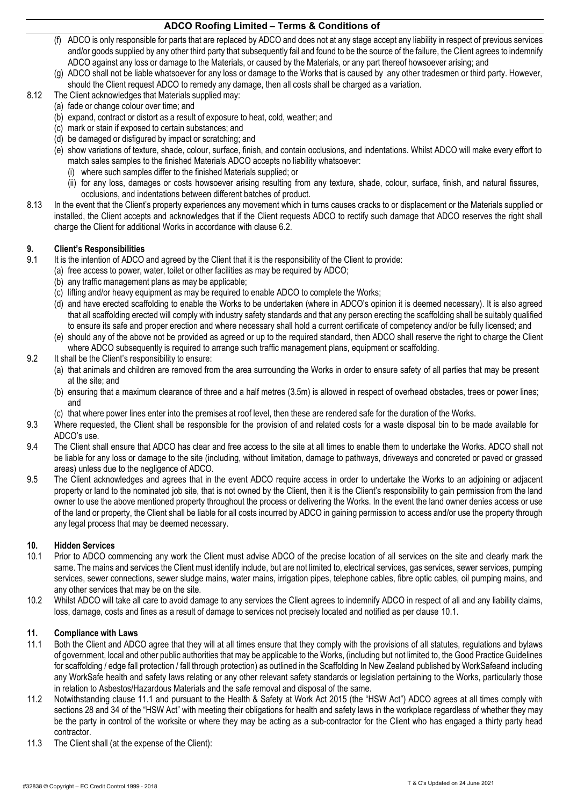- (f) ADCO is only responsible for parts that are replaced by ADCO and does not at any stage accept any liability in respect of previous services and/or goods supplied by any other third party that subsequently fail and found to be the source of the failure, the Client agrees to indemnify ADCO against any loss or damage to the Materials, or caused by the Materials, or any part thereof howsoever arising; and
- (g) ADCO shall not be liable whatsoever for any loss or damage to the Works that is caused by any other tradesmen or third party. However, should the Client request ADCO to remedy any damage, then all costs shall be charged as a variation.
- 8.12 The Client acknowledges that Materials supplied may:
	- (a) fade or change colour over time; and
	- (b) expand, contract or distort as a result of exposure to heat, cold, weather; and
	- (c) mark or stain if exposed to certain substances; and
	- (d) be damaged or disfigured by impact or scratching; and
	- (e) show variations of texture, shade, colour, surface, finish, and contain occlusions, and indentations. Whilst ADCO will make every effort to match sales samples to the finished Materials ADCO accepts no liability whatsoever:
		- (i) where such samples differ to the finished Materials supplied; or
		- (ii) for any loss, damages or costs howsoever arising resulting from any texture, shade, colour, surface, finish, and natural fissures, occlusions, and indentations between different batches of product.
- 8.13 In the event that the Client's property experiences any movement which in turns causes cracks to or displacement or the Materials supplied or installed, the Client accepts and acknowledges that if the Client requests ADCO to rectify such damage that ADCO reserves the right shall charge the Client for additional Works in accordance with clause [6.2.](#page-1-0)

# **9. Client's Responsibilities**

- It is the intention of ADCO and agreed by the Client that it is the responsibility of the Client to provide:
	- (a) free access to power, water, toilet or other facilities as may be required by ADCO;
	- (b) any traffic management plans as may be applicable;
	- (c) lifting and/or heavy equipment as may be required to enable ADCO to complete the Works;
	- (d) and have erected scaffolding to enable the Works to be undertaken (where in ADCO's opinion it is deemed necessary). It is also agreed that all scaffolding erected will comply with industry safety standards and that any person erecting the scaffolding shall be suitably qualified to ensure its safe and proper erection and where necessary shall hold a current certificate of competency and/or be fully licensed; and
	- (e) should any of the above not be provided as agreed or up to the required standard, then ADCO shall reserve the right to charge the Client where ADCO subsequently is required to arrange such traffic management plans, equipment or scaffolding.
- 9.2 It shall be the Client's responsibility to ensure:
	- (a) that animals and children are removed from the area surrounding the Works in order to ensure safety of all parties that may be present at the site; and
	- (b) ensuring that a maximum clearance of three and a half metres (3.5m) is allowed in respect of overhead obstacles, trees or power lines; and
	- (c) that where power lines enter into the premises at roof level, then these are rendered safe for the duration of the Works.
- 9.3 Where requested, the Client shall be responsible for the provision of and related costs for a waste disposal bin to be made available for ADCO's use.
- 9.4 The Client shall ensure that ADCO has clear and free access to the site at all times to enable them to undertake the Works. ADCO shall not be liable for any loss or damage to the site (including, without limitation, damage to pathways, driveways and concreted or paved or grassed areas) unless due to the negligence of ADCO.
- 9.5 The Client acknowledges and agrees that in the event ADCO require access in order to undertake the Works to an adjoining or adjacent property or land to the nominated job site, that is not owned by the Client, then it is the Client's responsibility to gain permission from the land owner to use the above mentioned property throughout the process or delivering the Works. In the event the land owner denies access or use of the land or property, the Client shall be liable for all costs incurred by ADCO in gaining permission to access and/or use the property through any legal process that may be deemed necessary.

## **10. Hidden Services**

- <span id="page-3-0"></span>10.1 Prior to ADCO commencing any work the Client must advise ADCO of the precise location of all services on the site and clearly mark the same. The mains and services the Client must identify include, but are not limited to, electrical services, gas services, sewer services, pumping services, sewer connections, sewer sludge mains, water mains, irrigation pipes, telephone cables, fibre optic cables, oil pumping mains, and any other services that may be on the site.
- 10.2 Whilst ADCO will take all care to avoid damage to any services the Client agrees to indemnify ADCO in respect of all and any liability claims, loss, damage, costs and fines as a result of damage to services not precisely located and notified as per clause [10.1.](#page-3-0)

#### **11. Compliance with Laws**

- <span id="page-3-1"></span>11.1 Both the Client and ADCO agree that they will at all times ensure that they comply with the provisions of all statutes, regulations and bylaws of government, local and other public authorities that may be applicable to the Works, (including but not limited to, the Good Practice Guidelines for scaffolding / edge fall protection / fall through protection) as outlined in the Scaffolding In New Zealand published by WorkSafeand including any WorkSafe health and safety laws relating or any other relevant safety standards or legislation pertaining to the Works, particularly those in relation to Asbestos/Hazardous Materials and the safe removal and disposal of the same.
- 11.2 Notwithstanding clause [11.1 a](#page-3-1)nd pursuant to the Health & Safety at Work Act 2015 (the "HSW Act") ADCO agrees at all times comply with sections 28 and 34 of the "HSW Act" with meeting their obligations for health and safety laws in the workplace regardless of whether they may be the party in control of the worksite or where they may be acting as a sub-contractor for the Client who has engaged a thirty party head contractor.
- 11.3 The Client shall (at the expense of the Client):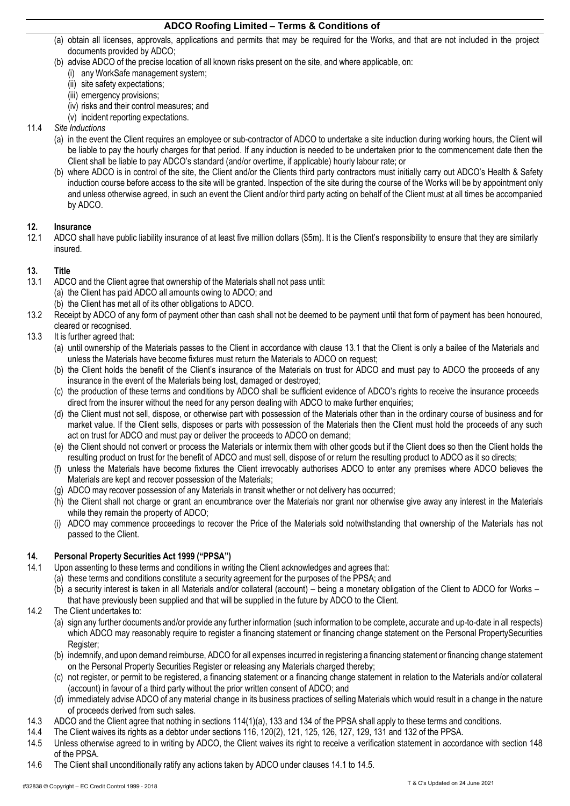- (a) obtain all licenses, approvals, applications and permits that may be required for the Works, and that are not included in the project documents provided by ADCO;
- (b) advise ADCO of the precise location of all known risks present on the site, and where applicable, on:
	- (i) any WorkSafe management system;
	- (ii) site safety expectations;
	- (iii) emergency provisions;
	- (iv) risks and their control measures; and
	- (v) incident reporting expectations.

## 11.4 *Site Inductions*

- (a) in the event the Client requires an employee or sub-contractor of ADCO to undertake a site induction during working hours, the Client will be liable to pay the hourly charges for that period. If any induction is needed to be undertaken prior to the commencement date then the Client shall be liable to pay ADCO's standard (and/or overtime, if applicable) hourly labour rate; or
- (b) where ADCO is in control of the site, the Client and/or the Clients third party contractors must initially carry out ADCO's Health & Safety induction course before access to the site will be granted. Inspection of the site during the course of the Works will be by appointment only and unless otherwise agreed, in such an event the Client and/or third party acting on behalf of the Client must at all times be accompanied by ADCO.

## **12. Insurance**

12.1 ADCO shall have public liability insurance of at least five million dollars (\$5m). It is the Client's responsibility to ensure that they are similarly insured.

## <span id="page-4-0"></span>**13. Title**

- <span id="page-4-1"></span>13.1 ADCO and the Client agree that ownership of the Materials shall not pass until:
	- (a) the Client has paid ADCO all amounts owing to ADCO; and
		- (b) the Client has met all of its other obligations to ADCO.
- 13.2 Receipt by ADCO of any form of payment other than cash shall not be deemed to be payment until that form of payment has been honoured, cleared or recognised.
- 13.3 It is further agreed that:
	- (a) until ownership of the Materials passes to the Client in accordance with clause [13.1](#page-4-1) that the Client is only a bailee of the Materials and unless the Materials have become fixtures must return the Materials to ADCO on request;
	- (b) the Client holds the benefit of the Client's insurance of the Materials on trust for ADCO and must pay to ADCO the proceeds of any insurance in the event of the Materials being lost, damaged or destroyed;
	- (c) the production of these terms and conditions by ADCO shall be sufficient evidence of ADCO's rights to receive the insurance proceeds direct from the insurer without the need for any person dealing with ADCO to make further enquiries;
	- (d) the Client must not sell, dispose, or otherwise part with possession of the Materials other than in the ordinary course of business and for market value. If the Client sells, disposes or parts with possession of the Materials then the Client must hold the proceeds of any such act on trust for ADCO and must pay or deliver the proceeds to ADCO on demand;
	- (e) the Client should not convert or process the Materials or intermix them with other goods but if the Client does so then the Client holds the resulting product on trust for the benefit of ADCO and must sell, dispose of or return the resulting product to ADCO as it so directs;
	- (f) unless the Materials have become fixtures the Client irrevocably authorises ADCO to enter any premises where ADCO believes the Materials are kept and recover possession of the Materials;
	- (g) ADCO may recover possession of any Materials in transit whether or not delivery has occurred;
	- (h) the Client shall not charge or grant an encumbrance over the Materials nor grant nor otherwise give away any interest in the Materials while they remain the property of ADCO;
	- (i) ADCO may commence proceedings to recover the Price of the Materials sold notwithstanding that ownership of the Materials has not passed to the Client.

## <span id="page-4-4"></span>**14. Personal Property Securities Act 1999 ("PPSA")**

- <span id="page-4-2"></span>14.1 Upon assenting to these terms and conditions in writing the Client acknowledges and agrees that:
	- (a) these terms and conditions constitute a security agreement for the purposes of the PPSA; and
		- (b) a security interest is taken in all Materials and/or collateral (account) being a monetary obligation of the Client to ADCO for Works that have previously been supplied and that will be supplied in the future by ADCO to the Client.
- 14.2 The Client undertakes to:
	- (a) sign any further documents and/or provide any further information (such information to be complete, accurate and up-to-date in all respects) which ADCO may reasonably require to register a financing statement or financing change statement on the Personal PropertySecurities Register;
	- (b) indemnify, and upon demand reimburse, ADCO for all expenses incurred in registering a financing statement or financing change statement on the Personal Property Securities Register or releasing any Materials charged thereby;
	- (c) not register, or permit to be registered, a financing statement or a financing change statement in relation to the Materials and/or collateral (account) in favour of a third party without the prior written consent of ADCO; and
	- (d) immediately advise ADCO of any material change in its business practices of selling Materials which would result in a change in the nature of proceeds derived from such sales.
- 14.3 ADCO and the Client agree that nothing in sections 114(1)(a), 133 and 134 of the PPSA shall apply to these terms and conditions.
- 14.4 The Client waives its rights as a debtor under sections 116, 120(2), 121, 125, 126, 127, 129, 131 and 132 of the PPSA.
- <span id="page-4-3"></span>14.5 Unless otherwise agreed to in writing by ADCO, the Client waives its right to receive a verification statement in accordance with section 148 of the PPSA.
- 14.6 The Client shall unconditionally ratify any actions taken by ADCO under clauses [14.1](#page-4-2) to [14.5.](#page-4-3)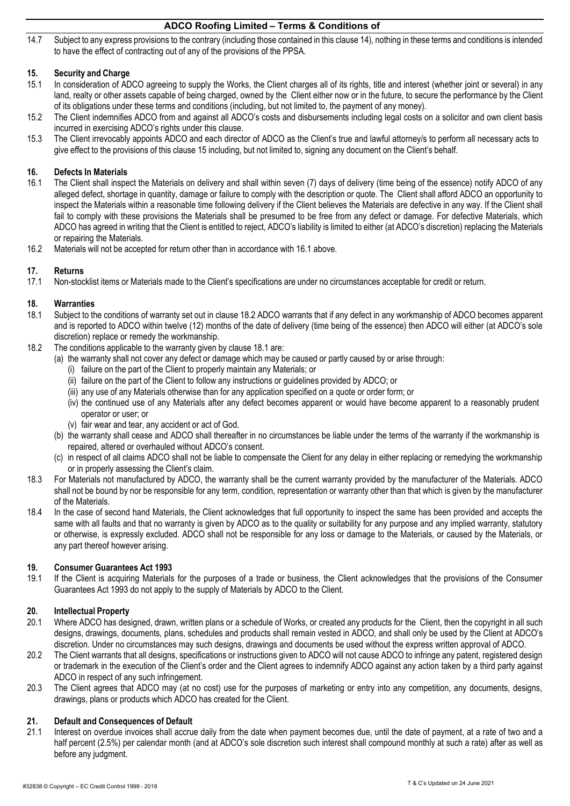14.7 Subject to any express provisions to the contrary (including those contained in this claus[e 14\),](#page-4-4) nothing in these terms and conditions is intended to have the effect of contracting out of any of the provisions of the PPSA.

## <span id="page-5-0"></span>**15. Security and Charge**

- In consideration of ADCO agreeing to supply the Works, the Client charges all of its rights, title and interest (whether joint or several) in any land, realty or other assets capable of being charged, owned by the Client either now or in the future, to secure the performance by the Client of its obligations under these terms and conditions (including, but not limited to, the payment of any money).
- 15.2 The Client indemnifies ADCO from and against all ADCO's costs and disbursements including legal costs on a solicitor and own client basis incurred in exercising ADCO's rights under this clause.
- 15.3 The Client irrevocably appoints ADCO and each director of ADCO as the Client's true and lawful attorney/s to perform all necessary acts to give effect to the provisions of this clause [15](#page-5-0) including, but not limited to, signing any document on the Client's behalf.

### **16. Defects In Materials**

- <span id="page-5-1"></span>16.1 The Client shall inspect the Materials on delivery and shall within seven (7) days of delivery (time being of the essence) notify ADCO of any alleged defect, shortage in quantity, damage or failure to comply with the description or quote. The Client shall afford ADCO an opportunity to inspect the Materials within a reasonable time following delivery if the Client believes the Materials are defective in any way. If the Client shall fail to comply with these provisions the Materials shall be presumed to be free from any defect or damage. For defective Materials, which ADCO has agreed in writing that the Client is entitled to reject, ADCO's liability is limited to either (at ADCO's discretion) replacing the Materials or repairing the Materials.
- 16.2 Materials will not be accepted for return other than in accordance with [16.1](#page-5-1) above.

### **17. Returns**

17.1 Non-stocklist items or Materials made to the Client's specifications are under no circumstances acceptable for credit or return.

### **18. Warranties**

- <span id="page-5-3"></span>18.1 Subject to the conditions of warranty set out in claus[e 18.2](#page-5-2) ADCO warrants that if any defect in any workmanship of ADCO becomes apparent and is reported to ADCO within twelve (12) months of the date of delivery (time being of the essence) then ADCO will either (at ADCO's sole discretion) replace or remedy the workmanship.
- <span id="page-5-2"></span>18.2 The conditions applicable to the warranty given by clause [18.1](#page-5-3) are:
	- (a) the warranty shall not cover any defect or damage which may be caused or partly caused by or arise through:
		- (i) failure on the part of the Client to properly maintain any Materials; or
		- (ii) failure on the part of the Client to follow any instructions or guidelines provided by ADCO; or
		- (iii) any use of any Materials otherwise than for any application specified on a quote or order form; or
		- (iv) the continued use of any Materials after any defect becomes apparent or would have become apparent to a reasonably prudent operator or user; or
		- (v) fair wear and tear, any accident or act of God.
	- (b) the warranty shall cease and ADCO shall thereafter in no circumstances be liable under the terms of the warranty if the workmanship is repaired, altered or overhauled without ADCO's consent.
	- (c) in respect of all claims ADCO shall not be liable to compensate the Client for any delay in either replacing or remedying the workmanship or in properly assessing the Client's claim.
- 18.3 For Materials not manufactured by ADCO, the warranty shall be the current warranty provided by the manufacturer of the Materials. ADCO shall not be bound by nor be responsible for any term, condition, representation or warranty other than that which is given by the manufacturer of the Materials.
- 18.4 In the case of second hand Materials, the Client acknowledges that full opportunity to inspect the same has been provided and accepts the same with all faults and that no warranty is given by ADCO as to the quality or suitability for any purpose and any implied warranty, statutory or otherwise, is expressly excluded. ADCO shall not be responsible for any loss or damage to the Materials, or caused by the Materials, or any part thereof however arising.

#### **19. Consumer Guarantees Act 1993**

19.1 If the Client is acquiring Materials for the purposes of a trade or business, the Client acknowledges that the provisions of the Consumer Guarantees Act 1993 do not apply to the supply of Materials by ADCO to the Client.

## **20. Intellectual Property**

- 20.1 Where ADCO has designed, drawn, written plans or a schedule of Works, or created any products for the Client, then the copyright in all such designs, drawings, documents, plans, schedules and products shall remain vested in ADCO, and shall only be used by the Client at ADCO's discretion. Under no circumstances may such designs, drawings and documents be used without the express written approval of ADCO.
- 20.2 The Client warrants that all designs, specifications or instructions given to ADCO will not cause ADCO to infringe any patent, registered design or trademark in the execution of the Client's order and the Client agrees to indemnify ADCO against any action taken by a third party against ADCO in respect of any such infringement.
- 20.3 The Client agrees that ADCO may (at no cost) use for the purposes of marketing or entry into any competition, any documents, designs, drawings, plans or products which ADCO has created for the Client.

#### <span id="page-5-4"></span>**21. Default and Consequences of Default**

21.1 Interest on overdue invoices shall accrue daily from the date when payment becomes due, until the date of payment, at a rate of two and a half percent (2.5%) per calendar month (and at ADCO's sole discretion such interest shall compound monthly at such a rate) after as well as before any judgment.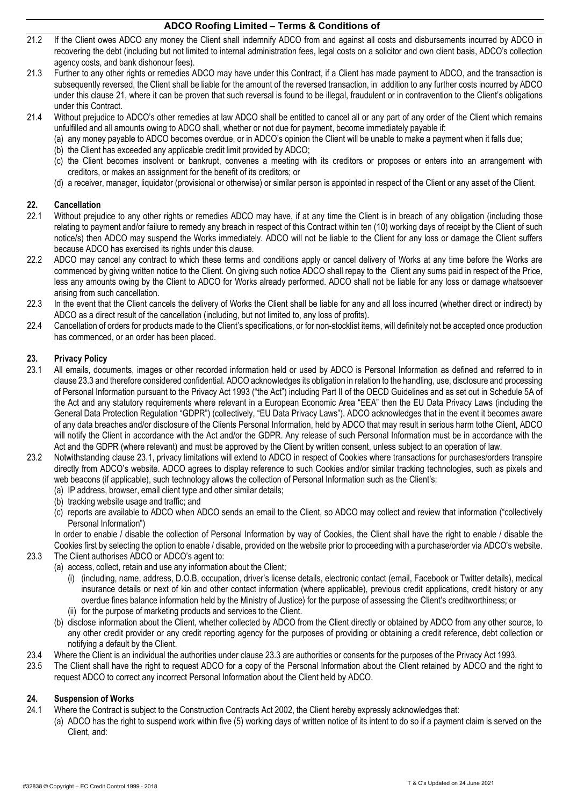- 21.2 If the Client owes ADCO any money the Client shall indemnify ADCO from and against all costs and disbursements incurred by ADCO in recovering the debt (including but not limited to internal administration fees, legal costs on a solicitor and own client basis, ADCO's collection agency costs, and bank dishonour fees).
- 21.3 Further to any other rights or remedies ADCO may have under this Contract, if a Client has made payment to ADCO, and the transaction is subsequently reversed, the Client shall be liable for the amount of the reversed transaction, in addition to any further costs incurred by ADCO under this clause [21, w](#page-5-4)here it can be proven that such reversal is found to be illegal, fraudulent or in contravention to the Client's obligations under this Contract.
- 21.4 Without prejudice to ADCO's other remedies at law ADCO shall be entitled to cancel all or any part of any order of the Client which remains unfulfilled and all amounts owing to ADCO shall, whether or not due for payment, become immediately payable if:
	- (a) any money payable to ADCO becomes overdue, or in ADCO's opinion the Client will be unable to make a payment when it falls due;
	- (b) the Client has exceeded any applicable credit limit provided by ADCO;
	- (c) the Client becomes insolvent or bankrupt, convenes a meeting with its creditors or proposes or enters into an arrangement with creditors, or makes an assignment for the benefit of its creditors; or
	- (d) a receiver, manager, liquidator (provisional or otherwise) or similar person is appointed in respect of the Client or any asset of the Client.

### <span id="page-6-3"></span>**22. Cancellation**

- <span id="page-6-2"></span>22.1 Without prejudice to any other rights or remedies ADCO may have, if at any time the Client is in breach of any obligation (including those relating to payment and/or failure to remedy any breach in respect of this Contract within ten (10) working days of receipt by the Client of such notice/s) then ADCO may suspend the Works immediately. ADCO will not be liable to the Client for any loss or damage the Client suffers because ADCO has exercised its rights under this clause.
- 22.2 ADCO may cancel any contract to which these terms and conditions apply or cancel delivery of Works at any time before the Works are commenced by giving written notice to the Client. On giving such notice ADCO shall repay to the Client any sums paid in respect of the Price, less any amounts owing by the Client to ADCO for Works already performed. ADCO shall not be liable for any loss or damage whatsoever arising from such cancellation.
- 22.3 In the event that the Client cancels the delivery of Works the Client shall be liable for any and all loss incurred (whether direct or indirect) by ADCO as a direct result of the cancellation (including, but not limited to, any loss of profits).
- 22.4 Cancellation of orders for products made to the Client's specifications, or for non-stocklist items, will definitely not be accepted once production has commenced, or an order has been placed.

## **23. Privacy Policy**

- <span id="page-6-1"></span>23.1 All emails, documents, images or other recorded information held or used by ADCO is Personal Information as defined and referred to in claus[e 23.3](#page-6-0) and therefore considered confidential. ADCO acknowledges its obligation in relation to the handling, use, disclosure and processing of Personal Information pursuant to the Privacy Act 1993 ("the Act") including Part II of the OECD Guidelines and as set out in Schedule 5A of the Act and any statutory requirements where relevant in a European Economic Area "EEA" then the EU Data Privacy Laws (including the General Data Protection Regulation "GDPR") (collectively, "EU Data Privacy Laws"). ADCO acknowledges that in the event it becomes aware of any data breaches and/or disclosure of the Clients Personal Information, held by ADCO that may result in serious harm tothe Client, ADCO will notify the Client in accordance with the Act and/or the GDPR. Any release of such Personal Information must be in accordance with the Act and the GDPR (where relevant) and must be approved by the Client by written consent, unless subject to an operation of law.
- 23.2 Notwithstanding clause [23.1, p](#page-6-1)rivacy limitations will extend to ADCO in respect of Cookies where transactions for purchases/orders transpire directly from ADCO's website. ADCO agrees to display reference to such Cookies and/or similar tracking technologies, such as pixels and web beacons (if applicable), such technology allows the collection of Personal Information such as the Client's:
	- (a) IP address, browser, email client type and other similar details;
	- (b) tracking website usage and traffic; and
	- (c) reports are available to ADCO when ADCO sends an email to the Client, so ADCO may collect and review that information ("collectively Personal Information")

In order to enable / disable the collection of Personal Information by way of Cookies, the Client shall have the right to enable / disable the Cookies first by selecting the option to enable / disable, provided on the website prior to proceeding with a purchase/order via ADCO's website. 23.3 The Client authorises ADCO or ADCO's agent to:

- <span id="page-6-0"></span>(a) access, collect, retain and use any information about the Client;
	- (i) (including, name, address, D.O.B, occupation, driver's license details, electronic contact (email, Facebook or Twitter details), medical insurance details or next of kin and other contact information (where applicable), previous credit applications, credit history or any overdue fines balance information held by the Ministry of Justice) for the purpose of assessing the Client's creditworthiness; or
	- (ii) for the purpose of marketing products and services to the Client.
	- (b) disclose information about the Client, whether collected by ADCO from the Client directly or obtained by ADCO from any other source, to any other credit provider or any credit reporting agency for the purposes of providing or obtaining a credit reference, debt collection or notifying a default by the Client.
- 23.4 Where the Client is an individual the authorities under clause [23.3](#page-6-0) are authorities or consents for the purposes of the Privacy Act 1993.
- 23.5 The Client shall have the right to request ADCO for a copy of the Personal Information about the Client retained by ADCO and the right to request ADCO to correct any incorrect Personal Information about the Client held by ADCO.

## **24. Suspension of Works**

- 24.1 Where the Contract is subject to the Construction Contracts Act 2002, the Client hereby expressly acknowledges that:
	- (a) ADCO has the right to suspend work within five (5) working days of written notice of its intent to do so if a payment claim is served on the Client, and: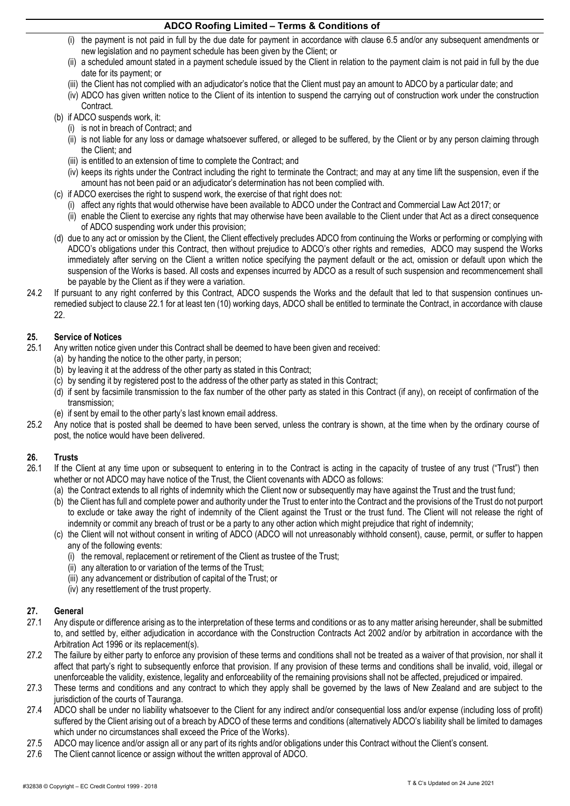- (i) the payment is not paid in full by the due date for payment in accordance with clause [6.5](#page-1-5) and/or any subsequent amendments or new legislation and no payment schedule has been given by the Client; or
- (ii) a scheduled amount stated in a payment schedule issued by the Client in relation to the payment claim is not paid in full by the due date for its payment; or
- (iii) the Client has not complied with an adjudicator's notice that the Client must pay an amount to ADCO by a particular date; and
- (iv) ADCO has given written notice to the Client of its intention to suspend the carrying out of construction work under the construction Contract.
- (b) if ADCO suspends work, it:
	- (i) is not in breach of Contract; and
	- (ii) is not liable for any loss or damage whatsoever suffered, or alleged to be suffered, by the Client or by any person claiming through the Client; and
	- (iii) is entitled to an extension of time to complete the Contract; and
	- (iv) keeps its rights under the Contract including the right to terminate the Contract; and may at any time lift the suspension, even if the amount has not been paid or an adjudicator's determination has not been complied with.
- (c) if ADCO exercises the right to suspend work, the exercise of that right does not:
	- (i) affect any rights that would otherwise have been available to ADCO under the Contract and Commercial Law Act 2017; or
	- (ii) enable the Client to exercise any rights that may otherwise have been available to the Client under that Act as a direct consequence of ADCO suspending work under this provision;
- (d) due to any act or omission by the Client, the Client effectively precludes ADCO from continuing the Works or performing or complying with ADCO's obligations under this Contract, then without prejudice to ADCO's other rights and remedies, ADCO may suspend the Works immediately after serving on the Client a written notice specifying the payment default or the act, omission or default upon which the suspension of the Works is based. All costs and expenses incurred by ADCO as a result of such suspension and recommencement shall be payable by the Client as if they were a variation.
- 24.2 If pursuant to any right conferred by this Contract, ADCO suspends the Works and the default that led to that suspension continues unremedied subject to claus[e 22.1 fo](#page-6-2)r at least ten (10) working days, ADCO shall be entitled to terminate the Contract, in accordance with clause [22.](#page-6-3)

## **25. Service of Notices**

- Any written notice given under this Contract shall be deemed to have been given and received:
	- (a) by handing the notice to the other party, in person;
	- (b) by leaving it at the address of the other party as stated in this Contract;
	- (c) by sending it by registered post to the address of the other party as stated in this Contract;
	- (d) if sent by facsimile transmission to the fax number of the other party as stated in this Contract (if any), on receipt of confirmation of the transmission;
	- (e) if sent by email to the other party's last known email address.
- 25.2 Any notice that is posted shall be deemed to have been served, unless the contrary is shown, at the time when by the ordinary course of post, the notice would have been delivered.

## **26. Trusts**

- 26.1 If the Client at any time upon or subsequent to entering in to the Contract is acting in the capacity of trustee of any trust ("Trust") then whether or not ADCO may have notice of the Trust, the Client covenants with ADCO as follows:
	- (a) the Contract extends to all rights of indemnity which the Client now or subsequently may have against the Trust and the trust fund;
	- (b) the Client has full and complete power and authority under the Trust to enter into the Contract and the provisions of the Trust do not purport to exclude or take away the right of indemnity of the Client against the Trust or the trust fund. The Client will not release the right of indemnity or commit any breach of trust or be a party to any other action which might prejudice that right of indemnity;
	- (c) the Client will not without consent in writing of ADCO (ADCO will not unreasonably withhold consent), cause, permit, or suffer to happen any of the following events:
		- (i) the removal, replacement or retirement of the Client as trustee of the Trust;
		- (ii) any alteration to or variation of the terms of the Trust;
		- (iii) any advancement or distribution of capital of the Trust; or
		- (iv) any resettlement of the trust property.

## **27. General**

- Any dispute or difference arising as to the interpretation of these terms and conditions or as to any matter arising hereunder, shall be submitted to, and settled by, either adjudication in accordance with the Construction Contracts Act 2002 and/or by arbitration in accordance with the Arbitration Act 1996 or its replacement(s).
- 27.2 The failure by either party to enforce any provision of these terms and conditions shall not be treated as a waiver of that provision, nor shall it affect that party's right to subsequently enforce that provision. If any provision of these terms and conditions shall be invalid, void, illegal or unenforceable the validity, existence, legality and enforceability of the remaining provisions shall not be affected, prejudiced or impaired.
- 27.3 These terms and conditions and any contract to which they apply shall be governed by the laws of New Zealand and are subject to the jurisdiction of the courts of Tauranga.
- 27.4 ADCO shall be under no liability whatsoever to the Client for any indirect and/or consequential loss and/or expense (including loss of profit) suffered by the Client arising out of a breach by ADCO of these terms and conditions (alternatively ADCO's liability shall be limited to damages which under no circumstances shall exceed the Price of the Works).
- 27.5 ADCO may licence and/or assign all or any part of its rights and/or obligations under this Contract without the Client's consent.
- 27.6 The Client cannot licence or assign without the written approval of ADCO.